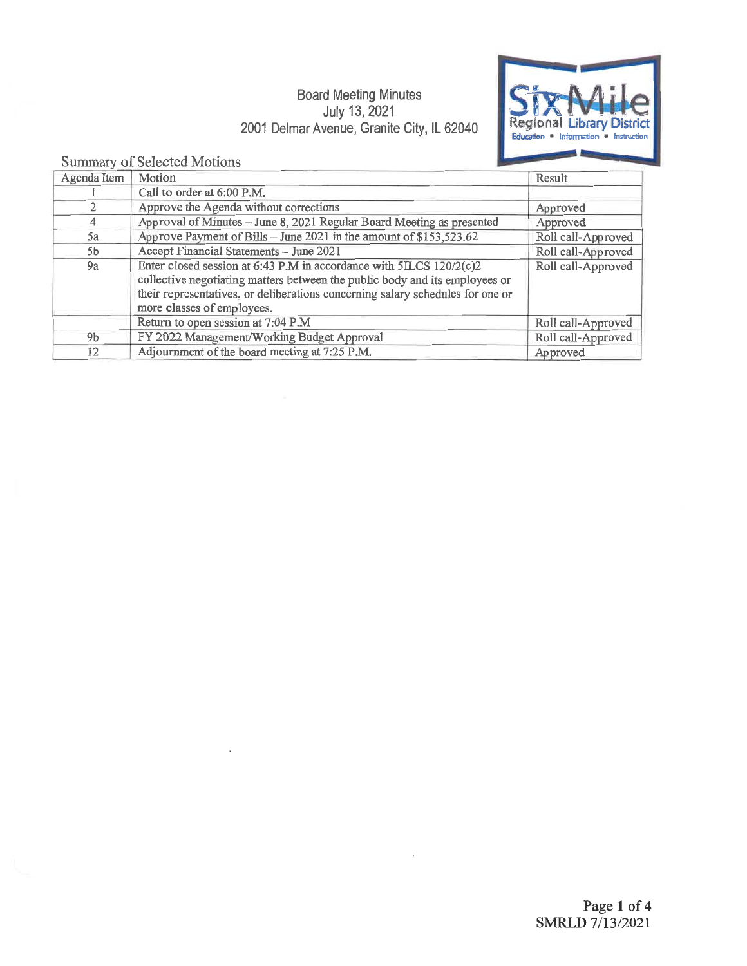### Board Meeting Minutes July 13, 2021 2001 Delmar Avenue, Granite City, IL 62040



### Summary of Selected Motions

| Agenda Item    | Motion                                                                                                                                                                                                                                                             | Result             |
|----------------|--------------------------------------------------------------------------------------------------------------------------------------------------------------------------------------------------------------------------------------------------------------------|--------------------|
|                | Call to order at 6:00 P.M.                                                                                                                                                                                                                                         |                    |
|                | Approve the Agenda without corrections                                                                                                                                                                                                                             | Approved           |
|                | Approval of Minutes - June 8, 2021 Regular Board Meeting as presented                                                                                                                                                                                              | Approved           |
| 5a             | Approve Payment of Bills - June 2021 in the amount of \$153,523.62                                                                                                                                                                                                 | Roll call-Approved |
| 5 <sub>b</sub> | Accept Financial Statements - June 2021                                                                                                                                                                                                                            | Roll call-Approved |
| 9a             | Enter closed session at 6:43 P.M in accordance with 5ILCS 120/2(c)2<br>collective negotiating matters between the public body and its employees or<br>their representatives, or deliberations concerning salary schedules for one or<br>more classes of employees. | Roll call-Approved |
|                | Return to open session at 7:04 P.M                                                                                                                                                                                                                                 | Roll call-Approved |
| 9 <sub>b</sub> | FY 2022 Management/Working Budget Approval                                                                                                                                                                                                                         | Roll call-Approved |
| 12             | Adjournment of the board meeting at 7:25 P.M.                                                                                                                                                                                                                      | Approved           |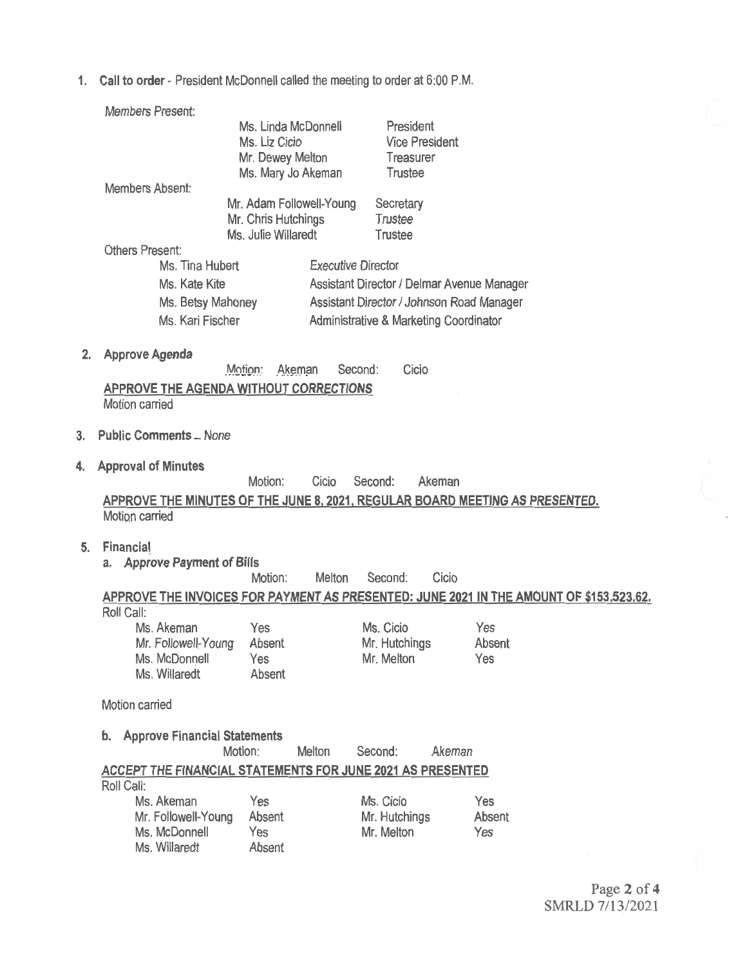1. Call to order- President McDonnell called the meeting to order at 6:00 P.M.

|    | <b>Members Present:</b>                                    |                     |                           |                                                   |                                                                                         |
|----|------------------------------------------------------------|---------------------|---------------------------|---------------------------------------------------|-----------------------------------------------------------------------------------------|
|    |                                                            |                     | Ms. Linda McDonnell       | President                                         |                                                                                         |
|    |                                                            | Ms. Liz Cicio       |                           | <b>Vice President</b>                             |                                                                                         |
|    |                                                            | Mr. Dewey Melton    |                           | Treasurer                                         |                                                                                         |
|    |                                                            |                     | Ms. Mary Jo Akeman        | Trustee                                           |                                                                                         |
|    | Members Absent:                                            |                     | Mr. Adam Followell-Young  | Secretary                                         |                                                                                         |
|    |                                                            | Mr. Chris Hutchings |                           | Trustee                                           |                                                                                         |
|    |                                                            | Ms. Julie Willaredt |                           | Trustee                                           |                                                                                         |
|    | <b>Others Present:</b>                                     |                     |                           |                                                   |                                                                                         |
|    | Ms. Tina Hubert                                            |                     | <b>Executive Director</b> |                                                   |                                                                                         |
|    | Ms. Kate Kite                                              |                     |                           | Assistant Director / Delmar Avenue Manager        |                                                                                         |
|    |                                                            | Ms. Betsy Mahoney   |                           | Assistant Director / Johnson Road Manager         |                                                                                         |
|    | Ms. Kari Fischer                                           |                     |                           | <b>Administrative &amp; Marketing Coordinator</b> |                                                                                         |
|    |                                                            |                     |                           |                                                   |                                                                                         |
| 2. | <b>Approve Agenda</b>                                      |                     |                           |                                                   |                                                                                         |
|    |                                                            | Motion:             | Second:<br>Akeman         | Cicio                                             |                                                                                         |
|    | <b>APPROVE THE AGENDA WITHOUT CORRECTIONS</b>              |                     |                           |                                                   |                                                                                         |
|    | Motion carried                                             |                     |                           |                                                   |                                                                                         |
|    |                                                            |                     |                           |                                                   |                                                                                         |
| 3. | <b>Public Comments _ None</b>                              |                     |                           |                                                   |                                                                                         |
| 4. | <b>Approval of Minutes</b>                                 |                     |                           |                                                   |                                                                                         |
|    |                                                            | Motion:             | Cicio                     | Second:<br>Akeman                                 |                                                                                         |
|    |                                                            |                     |                           |                                                   | APPROVE THE MINUTES OF THE JUNE 8, 2021, REGULAR BOARD MEETING AS PRESENTED.            |
|    | Motion carried                                             |                     |                           |                                                   |                                                                                         |
|    |                                                            |                     |                           |                                                   |                                                                                         |
| 5. | Financial                                                  |                     |                           |                                                   |                                                                                         |
|    | a. Approve Payment of Bills                                | Motion:             | Melton                    | Cicio<br>Second:                                  |                                                                                         |
|    |                                                            |                     |                           |                                                   | APPROVE THE INVOICES FOR PAYMENT AS PRESENTED: JUNE 2021 IN THE AMOUNT OF \$153,523.62. |
|    | Roll Call:                                                 |                     |                           |                                                   |                                                                                         |
|    | Ms. Akeman                                                 | Yes                 |                           | Ms. Cicio                                         | Yes                                                                                     |
|    | Mr. Followell-Young                                        | Absent              |                           | Mr. Hutchings                                     | Absent                                                                                  |
|    | Ms. McDonnell                                              | Yes                 |                           | Mr. Melton                                        | Yes                                                                                     |
|    | Ms. Willaredt                                              | Absent              |                           |                                                   |                                                                                         |
|    | Motion carried                                             |                     |                           |                                                   |                                                                                         |
|    |                                                            |                     |                           |                                                   |                                                                                         |
|    | <b>Approve Financial Statements</b><br>b.                  |                     |                           |                                                   |                                                                                         |
|    |                                                            | Motion:             | Meiton                    | Second:<br>Akeman                                 |                                                                                         |
|    | ACCEPT THE FINANCIAL STATEMENTS FOR JUNE 2021 AS PRESENTED |                     |                           |                                                   |                                                                                         |
|    | Roll Call:                                                 |                     |                           |                                                   |                                                                                         |
|    | Ms. Akeman                                                 | Yes                 |                           | Ms. Cicio                                         | Yes                                                                                     |
|    | Mr. Followell-Young<br>Ms. McDonnell                       | Absent<br>Yes       |                           | Mr. Hutchings<br>Mr. Melton                       | Absent<br>Yes                                                                           |
|    | Ms. Willaredt                                              | Absent              |                           |                                                   |                                                                                         |
|    |                                                            |                     |                           |                                                   |                                                                                         |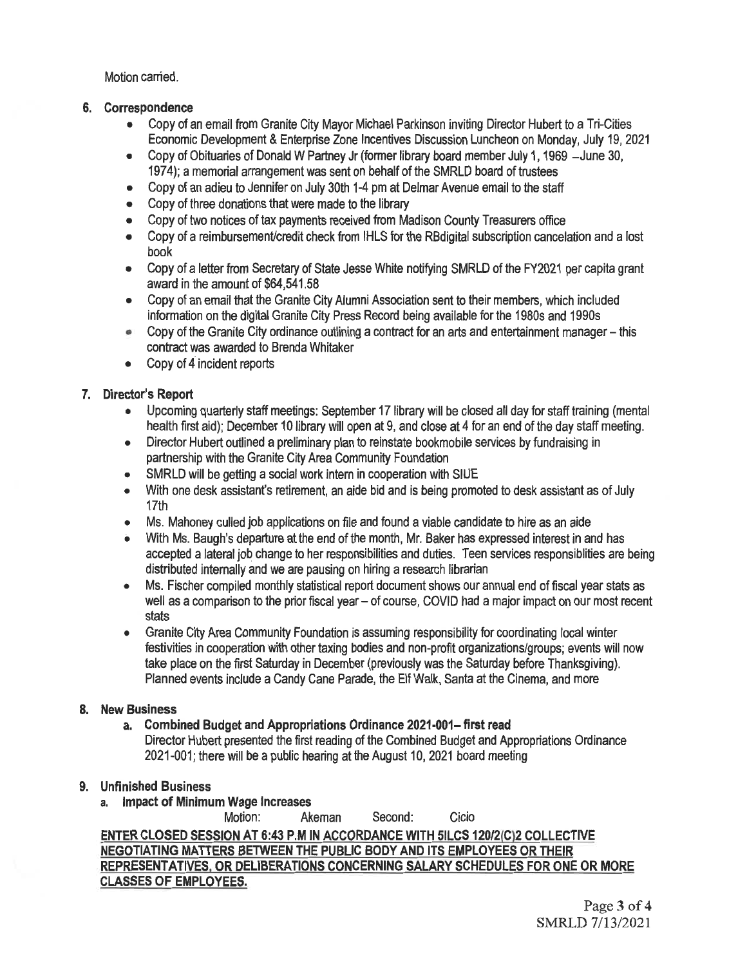Motion carried.

#### 6. Correspondence

- Copy of an email from Granite City Mayor Michael Parkinson inviting Director Hubert to a Tri-Cities Economic Development & Enterprise Zone Incentives Discussion Luncheon on Monday, July 19, 2021
- Copy of Obituaries of Donald W Partney Jr (former library board member July 1, 1969 June 30, 1974); a memorial arrangement was sent on behalf of the SMRLD board of trustees
- Copy of an adieu to Jennifer on July 30th 1-4 pm at Delmar Avenue email to the staff
- Copy of three donations that were made to the library
- Copy of two notices of tax payments received from Madison County Treasurers office
- Copy of a reimbursement/credit check from IHLS for the RBdigital subscription cancelation and a lost book
- Copy of a letter from Secretary of State Jesse White notifying SMRLD of the FY2021 per capita grant award in the amount of \$64,541.58
- Copy of an email that the Granite City Alumni Association sent to their members, which included information on the digital Granite City Press Record being available for the 1980s and 1990s
- Copy of the Granite City ordinance outlining a contract for an arts and entertainment manager this contract was awarded to Brenda Whitaker
- Copy of 4 incident reports

#### 7. Director's Report

- Upcoming quarterly staff meetings: September 17 library will be closed all day for staff training (mental health first aid); December 10 library will open at 9, and close at 4 for an end of the day staff meeting.
- Director Hubert outlined a preliminary plan to reinstate bookmobile services by fundraising in partnership with the Granite City Area Community Foundation
- SMRLD will be getting a social work intern in cooperation with SIUE
- With one desk assistant's retirement, an aide bid and is being promoted to desk assistant as of July 17th
- Ms. Mahoney culled job applications on file and found a viable candidate to hire as an aide
- With Ms. Baugh's departure at the end of the month, Mr. Baker has expressed interest in and has accepted a lateral job change to her responsibilities and duties. Teen services responsiblities are being distributed internally and we are pausing on hiring a research librarian
- Ms. Fischer compiled monthly statistical report document shows our annual end of fiscal year stats as well as a comparison to the prior fiscal year – of course, COVID had a major impact on our most recent stats
- Granite City Area Community Foundation is assuming responsibility for coordinating local winter festivities in cooperation with other taxing bodies and non-profit organizations/groups; events will now take place on the first Saturday in December (previously was the Saturday before Thanksgiving). Planned events include a Candy Cane Parade, the Elf Walk, Santa at the Cinema, and more

#### 8. New Business

a. Combined Budget and Appropriations Ordinance 2021-001-first read Director Hubert presented the first reading of the Combined Budget and Appropriations Ordinance 2021-001; there will be a public hearing at the August 10, 2021 board meeting

#### 9. Unfinished Business

a. Impact of Minimum Wage Increases

Motion: Akeman Second: Cicio

ENTER CLOSED SESSION AT 6:43 P.M IN ACCORDANCE WITH 5ILCS 120/2/Cl2 COLLECTIVE NEGOTIATING MATTERS BETWEEN THE PUBLIC BODY AND ITS EMPLOYEES OR THEIR REPRESENTATIVES, OR DELIBERATIONS CONCERNING SALARY SCHEDULES FOR ONE OR MORE CLASSES OF EMPLOYEES.

> Page 3 of 4 SMRLD 7/13/2021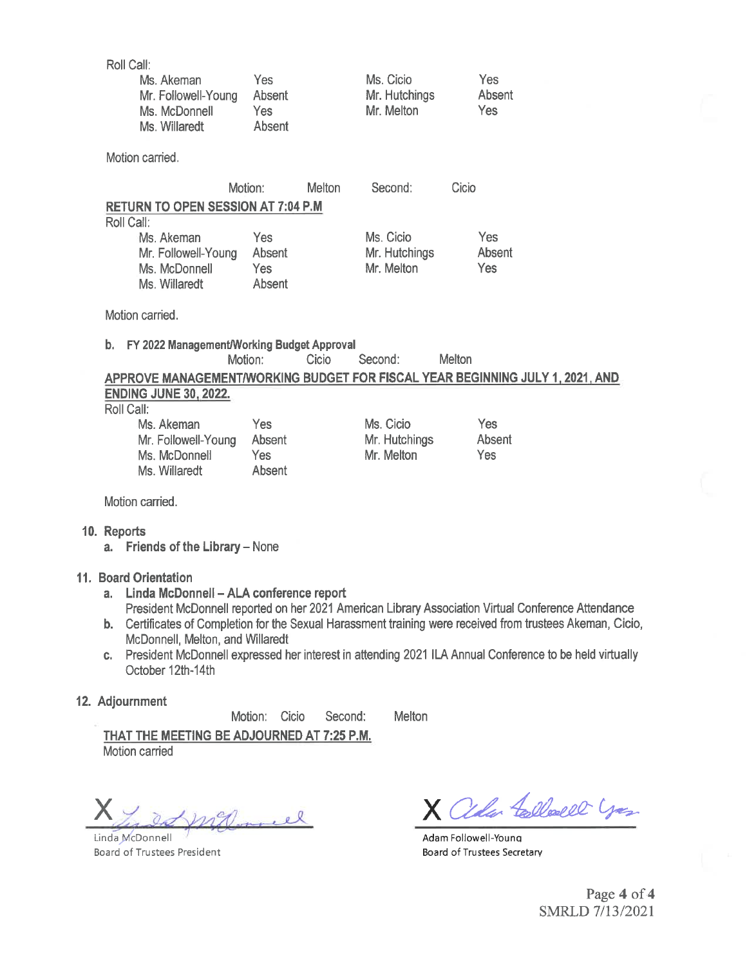| Roll Call:<br>Ms. Akeman                                            | Yes                                           | Ms. Cicio                                                                                                   | Yes                                |  |
|---------------------------------------------------------------------|-----------------------------------------------|-------------------------------------------------------------------------------------------------------------|------------------------------------|--|
| Mr. Followell-Young<br>Ms. McDonnell<br>Ms. Willaredt               | Absent<br>Yes<br>Absent                       | Mr. Hutchings<br>Mr. Melton                                                                                 | Absent<br>Yes                      |  |
| Motion carried.                                                     |                                               |                                                                                                             |                                    |  |
|                                                                     | Motion:                                       | <b>Melton</b><br>Second:                                                                                    | Cicio                              |  |
| <b>RETURN TO OPEN SESSION AT 7:04 P.M.</b><br>Roll Call:            |                                               |                                                                                                             |                                    |  |
| Ms. Akeman<br>Mr. Followell-Young<br>Ms. McDonnell<br>Ms. Willaredt | Yes<br>Absent<br>Yes<br>Absent                | Ms. Cicio<br>Mr. Hutchings<br>Mr. Melton                                                                    | Yes<br>Absent<br>Yes               |  |
| Motion carried.                                                     |                                               |                                                                                                             |                                    |  |
| b. FY 2022 Management/Working Budget Approval                       | Motion:                                       | Cicio<br>Second:                                                                                            | Melton                             |  |
|                                                                     |                                               | APPROVE MANAGEMENT/WORKING BUDGET FOR FISCAL YEAR BEGINNING JULY 1, 2021, AND                               |                                    |  |
| <b>ENDING JUNE 30, 2022.</b><br>Roll Call:                          |                                               |                                                                                                             |                                    |  |
| Ms. Akeman<br>Mr. Followell-Young<br>Ms. McDonnell<br>Ms. Willaredt | Yes.<br><b>Absent</b><br><b>Yes</b><br>Absent | Ms. Cicio<br>Mr. Hutchings<br>Mr. Melton                                                                    | <b>Yes</b><br><b>Absent</b><br>Yes |  |
| Motion carried.                                                     |                                               |                                                                                                             |                                    |  |
| 10. Reports<br>a. Friends of the Library - None                     |                                               |                                                                                                             |                                    |  |
| 11. Board Orientation                                               |                                               |                                                                                                             |                                    |  |
| Linda McDonnell - ALA conference report<br>$a_{-}$                  |                                               | President McDonnell reported on her 2021 American Library Association Virtual Conference Attendance         |                                    |  |
|                                                                     |                                               | b. Certificates of Completion for the Sexual Harassment training were received from trustees Akeman, Cicio, |                                    |  |
| McDonnell, Melton, and Willaredt<br>C.<br>October 12th-14th         |                                               | President McDonnell expressed her interest in attending 2021 ILA Annual Conference to be held virtually     |                                    |  |

## 12. Adjournment

Motion: Cicio Second: Melton

THAT THE MEETING BE ADJOURNED AT 7:25 P.M. Motion carried

X 1 2 pm Q march

Linda McDonnell Board of Trustees President

X alla Collecte you

Adam Followell-Young Board of Trustees Secretary